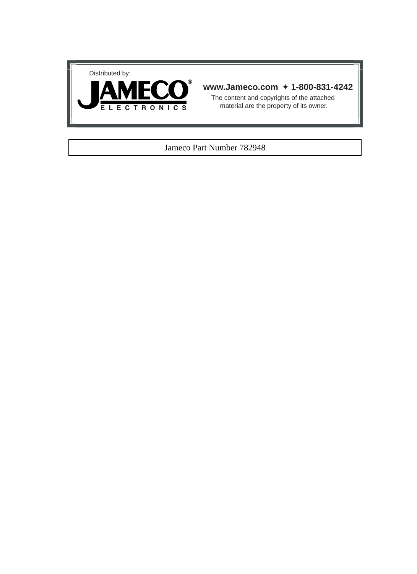



## **www.Jameco.com** ✦ **1-800-831-4242**

The content and copyrights of the attached material are the property of its owner.

## Jameco Part Number 782948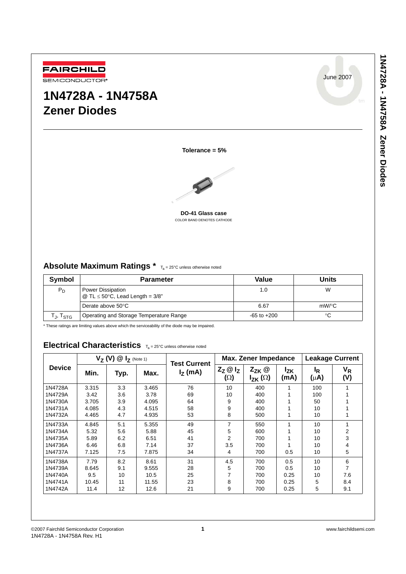June 2007



# **1N4728A - 1N4758A Zener Diodes**



**Tolerance = 5%**

**DO-41 Glass case** COLOR BAND DENOTES CATHODE

## Absolute Maximum Ratings \*  $T_a = 25^{\circ}C$  unless otherwise noted

| Symbol               | <b>Parameter</b>                                          | Value           | Units |
|----------------------|-----------------------------------------------------------|-----------------|-------|
| $P_D$                | Power Dissipation<br>@ TL $\leq$ 50°C, Lead Length = 3/8" | 1.0             | W     |
|                      | Derate above $50^{\circ}$ C                               | 6.67            | mW/°C |
| Гյ, T <sub>STG</sub> | Operating and Storage Temperature Range                   | $-65$ to $+200$ | °C    |

\* These ratings are limiting values above which the serviceability of the diode may be impaired.

## Electrical Characteristics  $T_a = 25^\circ$ C unless otherwise noted

|               | $V_Z$ (V) $@I_Z$ (Note 1) |      |       | <b>Test Current</b> | Max. Zener Impedance                   |                                |                         | <b>Leakage Current</b>      |                |
|---------------|---------------------------|------|-------|---------------------|----------------------------------------|--------------------------------|-------------------------|-----------------------------|----------------|
| <b>Device</b> | Min.                      | Typ. | Max.  | $IZ$ (mA)           | $Z_{Z}$ $\omega$ $I_{Z}$<br>$(\Omega)$ | $Z_{ZK}$ @<br>$I_{ZK}(\Omega)$ | l <sub>ΖK</sub><br>(mA) | <sup>I</sup> R<br>$(\mu A)$ | $V_R$<br>(V)   |
| 1N4728A       | 3.315                     | 3.3  | 3.465 | 76                  | 10                                     | 400                            |                         | 100                         |                |
| 1N4729A       | 3.42                      | 3.6  | 3.78  | 69                  | 10                                     | 400                            |                         | 100                         |                |
| 1N4730A       | 3.705                     | 3.9  | 4.095 | 64                  | 9                                      | 400                            |                         | 50                          |                |
| 1N4731A       | 4.085                     | 4.3  | 4.515 | 58                  | 9                                      | 400                            |                         | 10                          |                |
| 1N4732A       | 4.465                     | 4.7  | 4.935 | 53                  | 8                                      | 500                            |                         | 10                          |                |
| 1N4733A       | 4.845                     | 5.1  | 5.355 | 49                  | 7                                      | 550                            |                         | 10                          |                |
| 1N4734A       | 5.32                      | 5.6  | 5.88  | 45                  | 5                                      | 600                            |                         | 10                          | $\overline{2}$ |
| 1N4735A       | 5.89                      | 6.2  | 6.51  | 41                  | 2                                      | 700                            |                         | 10                          | 3              |
| 1N4736A       | 6.46                      | 6.8  | 7.14  | 37                  | 3.5                                    | 700                            |                         | 10                          | 4              |
| 1N4737A       | 7.125                     | 7.5  | 7.875 | 34                  | 4                                      | 700                            | 0.5                     | 10                          | 5              |
| 1N4738A       | 7.79                      | 8.2  | 8.61  | 31                  | 4.5                                    | 700                            | 0.5                     | 10                          | 6              |
| 1N4739A       | 8.645                     | 9.1  | 9.555 | 28                  | 5                                      | 700                            | 0.5                     | 10                          | 7              |
| 1N4740A       | 9.5                       | 10   | 10.5  | 25                  | 7                                      | 700                            | 0.25                    | 10                          | 7.6            |
| 1N4741A       | 10.45                     | 11   | 11.55 | 23                  | 8                                      | 700                            | 0.25                    | 5                           | 8.4            |
| 1N4742A       | 11.4                      | 12   | 12.6  | 21                  | 9                                      | 700                            | 0.25                    | 5                           | 9.1            |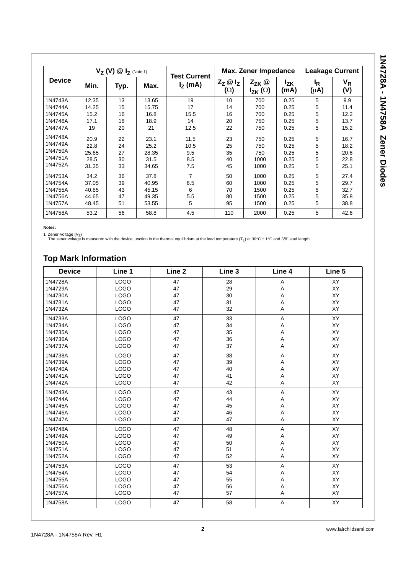| <b>Device</b> | $V_7$ (V) $\circledR$ $I_7$ (Note 1) |      |       |                                  | Max. Zener Impedance            |                                |                         | <b>Leakage Current</b> |              |
|---------------|--------------------------------------|------|-------|----------------------------------|---------------------------------|--------------------------------|-------------------------|------------------------|--------------|
|               | Min.                                 | Typ. | Max.  | <b>Test Current</b><br>$IZ$ (mA) | $Z_{Z}$ $\omega$ $I_{Z}$<br>(Ω) | $Z_{ZK}$ @<br>$I_{ZK}(\Omega)$ | <sup>I</sup> zk<br>(mA) | ΙŖ<br>$(\mu A)$        | $V_R$<br>(V) |
| 1N4743A       | 12.35                                | 13   | 13.65 | 19                               | 10                              | 700                            | 0.25                    | 5                      | 9.9          |
| 1N4744A       | 14.25                                | 15   | 15.75 | 17                               | 14                              | 700                            | 0.25                    | 5                      | 11.4         |
| 1N4745A       | 15.2                                 | 16   | 16.8  | 15.5                             | 16                              | 700                            | 0.25                    | 5                      | 12.2         |
| 1N4746A       | 17.1                                 | 18   | 18.9  | 14                               | 20                              | 750                            | 0.25                    | 5                      | 13.7         |
| 1N4747A       | 19                                   | 20   | 21    | 12.5                             | 22                              | 750                            | 0.25                    | 5                      | 15.2         |
| 1N4748A       | 20.9                                 | 22   | 23.1  | 11.5                             | 23                              | 750                            | 0.25                    | 5                      | 16.7         |
| 1N4749A       | 22.8                                 | 24   | 25.2  | 10.5                             | 25                              | 750                            | 0.25                    | 5                      | 18.2         |
| 1N4750A       | 25.65                                | 27   | 28.35 | 9.5                              | 35                              | 750                            | 0.25                    | 5                      | 20.6         |
| 1N4751A       | 28.5                                 | 30   | 31.5  | 8.5                              | 40                              | 1000                           | 0.25                    | 5                      | 22.8         |
| 1N4752A       | 31.35                                | 33   | 34.65 | 7.5                              | 45                              | 1000                           | 0.25                    | 5                      | 25.1         |
| 1N4753A       | 34.2                                 | 36   | 37.8  | $\overline{7}$                   | 50                              | 1000                           | 0.25                    | 5                      | 27.4         |
| 1N4754A       | 37.05                                | 39   | 40.95 | 6.5                              | 60                              | 1000                           | 0.25                    | 5                      | 29.7         |
| 1N4755A       | 40.85                                | 43   | 45.15 | 6                                | 70                              | 1500                           | 0.25                    | 5                      | 32.7         |
| 1N4756A       | 44.65                                | 47   | 49.35 | 5.5                              | 80                              | 1500                           | 0.25                    | 5                      | 35.8         |
| 1N4757A       | 48.45                                | 51   | 53.55 | 5                                | 95                              | 1500                           | 0.25                    | 5                      | 38.8         |
| 1N4758A       | 53.2                                 | 56   | 58.8  | 4.5                              | 110                             | 2000                           | 0.25                    | 5                      | 42.6         |

**Notes:**

1. Zener Voltage (V<sub>Z</sub>)<br>The zener voltage is measured with the device junction in the thermal equilibrium at the lead temperature (T<sub>L</sub>) at 30°C ± 1°C and 3/8" lead length.

## **Top Mark Information**

| <b>Device</b> | Line 1      | Line 2 | Line <sub>3</sub> | Line 4                    | Line 5    |
|---------------|-------------|--------|-------------------|---------------------------|-----------|
| 1N4728A       | <b>LOGO</b> | 47     | 28                | A                         | <b>XY</b> |
| 1N4729A       | <b>LOGO</b> | 47     | 29                | A                         | XY        |
| 1N4730A       | <b>LOGO</b> | 47     | 30                | $\boldsymbol{\mathsf{A}}$ | XY        |
| 1N4731A       | <b>LOGO</b> | 47     | 31                | A                         | XY        |
| 1N4732A       | <b>LOGO</b> | 47     | 32                | Α                         | XY        |
| 1N4733A       | <b>LOGO</b> | 47     | 33                | A                         | XY        |
| 1N4734A       | <b>LOGO</b> | 47     | 34                | Α                         | XY        |
| 1N4735A       | <b>LOGO</b> | 47     | 35                | $\boldsymbol{\mathsf{A}}$ | XY        |
| 1N4736A       | <b>LOGO</b> | 47     | 36                | A                         | <b>XY</b> |
| 1N4737A       | <b>LOGO</b> | 47     | 37                | A                         | XY        |
| 1N4738A       | <b>LOGO</b> | 47     | 38                | Α                         | <b>XY</b> |
| 1N4739A       | <b>LOGO</b> | 47     | 39                | A                         | XY        |
| 1N4740A       | <b>LOGO</b> | 47     | 40                | A                         | XY        |
| 1N4741A       | <b>LOGO</b> | 47     | 41                | $\boldsymbol{\mathsf{A}}$ | XY        |
| 1N4742A       | <b>LOGO</b> | 47     | 42                | A                         | <b>XY</b> |
| 1N4743A       | <b>LOGO</b> | 47     | 43                | $\mathsf A$               | XY        |
| 1N4744A       | <b>LOGO</b> | 47     | 44                | Α                         | XY        |
| 1N4745A       | <b>LOGO</b> | 47     | 45                | A                         | XY        |
| 1N4746A       | <b>LOGO</b> | 47     | 46                | A                         | <b>XY</b> |
| 1N4747A       | <b>LOGO</b> | 47     | 47                | A                         | XY        |
| 1N4748A       | <b>LOGO</b> | 47     | 48                | A                         | XY        |
| 1N4749A       | <b>LOGO</b> | 47     | 49                | $\boldsymbol{\mathsf{A}}$ | XY        |
| 1N4750A       | <b>LOGO</b> | 47     | 50                | A                         | XY        |
| 1N4751A       | <b>LOGO</b> | 47     | 51                | Α                         | XY        |
| 1N4752A       | <b>LOGO</b> | 47     | 52                | A                         | XY        |
| 1N4753A       | <b>LOGO</b> | 47     | 53                | $\mathsf A$               | XY        |
| 1N4754A       | <b>LOGO</b> | 47     | 54                | Α                         | XY        |
| 1N4755A       | <b>LOGO</b> | 47     | 55                | A                         | XY        |
| 1N4756A       | <b>LOGO</b> | 47     | 56                | Α                         | XY        |
| 1N4757A       | <b>LOGO</b> | 47     | 57                | A                         | XY        |
| 1N4758A       | <b>LOGO</b> | 47     | 58                | A                         | XY        |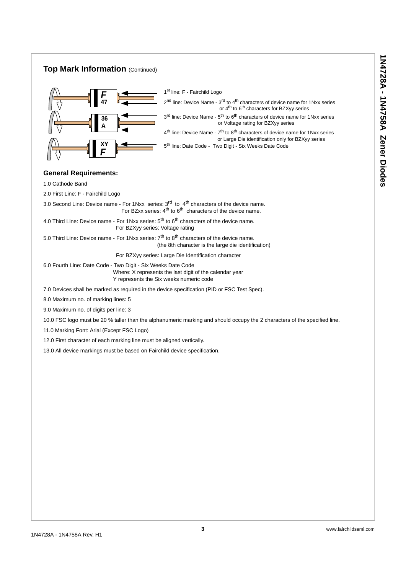#### **Top Mark Information** (Continued) f *F* **47 36 A** *F* **XY** 1<sup>st</sup> line: F - Fairchild Logo  $2<sup>nd</sup>$  line: Device Name -  $3<sup>rd</sup>$  to  $4<sup>th</sup>$  characters of device name for 1Nxx series or  $4^{th}$  to  $6^{th}$  characters for BZXyy series  $3<sup>rd</sup>$  line: Device Name -  $5<sup>th</sup>$  to  $6<sup>th</sup>$  characters of device name for 1Nxx series or Voltage rating for BZXyy series  $4<sup>th</sup>$  line: Device Name -  $7<sup>th</sup>$  to  $8<sup>th</sup>$  characters of device name for 1Nxx series or Large Die identification only for BZXyy series 5<sup>th</sup> line: Date Code - Two Digit - Six Weeks Date Code

## **General Requirements:**

1.0 Cathode Band

2.0 First Line: F - Fairchild Logo

3.0 Second Line: Device name - For 1Nxx series:  $3<sup>rd</sup>$  to  $4<sup>th</sup>$  characters of the device name. For BZxx series:  $4<sup>th</sup>$  to  $6<sup>th</sup>$  characters of the device name.

4.0 Third Line: Device name - For 1Nxx series:  $5<sup>th</sup>$  to  $6<sup>th</sup>$  characters of the device name. For BZXyy series: Voltage rating

5.0 Third Line: Device name - For 1Nxx series:  $7<sup>th</sup>$  to  $8<sup>th</sup>$  characters of the device name. (the 8th character is the large die identification)

For BZXyy series: Large Die Identification character

6.0 Fourth Line: Date Code - Two Digit - Six Weeks Date Code Where: X represents the last digit of the calendar year Y represents the Six weeks numeric code

7.0 Devices shall be marked as required in the device specification (PID or FSC Test Spec).

8.0 Maximum no. of marking lines: 5

9.0 Maximum no. of digits per line: 3

10.0 FSC logo must be 20 % taller than the alphanumeric marking and should occupy the 2 characters of the specified line.

11.0 Marking Font: Arial (Except FSC Logo)

12.0 First character of each marking line must be aligned vertically.

13.0 All device markings must be based on Fairchild device specification.